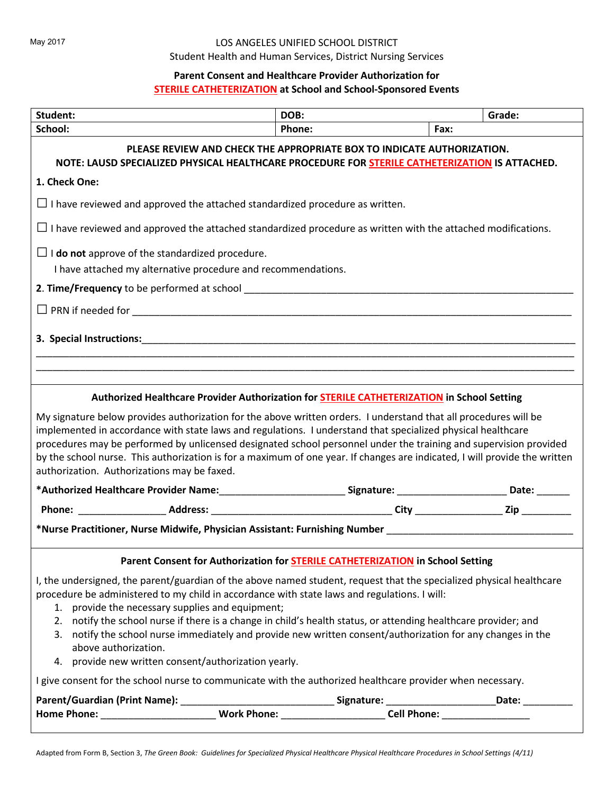#### LOS ANGELES UNIFIED SCHOOL DISTRICT

Student Health and Human Services, District Nursing Services

## **Parent Consent and Healthcare Provider Authorization for**

## **STERILE CATHETERIZATION at School and School-Sponsored Events**

| Student:                                                                                                                                                                 | DOB:                                                                                                                                                                                                                                                                                                                                                                                                                                                                                                       |        | Grade:                                                                                                                     |  |  |
|--------------------------------------------------------------------------------------------------------------------------------------------------------------------------|------------------------------------------------------------------------------------------------------------------------------------------------------------------------------------------------------------------------------------------------------------------------------------------------------------------------------------------------------------------------------------------------------------------------------------------------------------------------------------------------------------|--------|----------------------------------------------------------------------------------------------------------------------------|--|--|
| School:                                                                                                                                                                  |                                                                                                                                                                                                                                                                                                                                                                                                                                                                                                            | Phone: | Fax:                                                                                                                       |  |  |
| PLEASE REVIEW AND CHECK THE APPROPRIATE BOX TO INDICATE AUTHORIZATION.<br>NOTE: LAUSD SPECIALIZED PHYSICAL HEALTHCARE PROCEDURE FOR STERILE CATHETERIZATION IS ATTACHED. |                                                                                                                                                                                                                                                                                                                                                                                                                                                                                                            |        |                                                                                                                            |  |  |
| 1. Check One:                                                                                                                                                            |                                                                                                                                                                                                                                                                                                                                                                                                                                                                                                            |        |                                                                                                                            |  |  |
|                                                                                                                                                                          | $\Box$ I have reviewed and approved the attached standardized procedure as written.                                                                                                                                                                                                                                                                                                                                                                                                                        |        |                                                                                                                            |  |  |
|                                                                                                                                                                          | $\Box$ I have reviewed and approved the attached standardized procedure as written with the attached modifications.                                                                                                                                                                                                                                                                                                                                                                                        |        |                                                                                                                            |  |  |
|                                                                                                                                                                          | $\Box$ <b>I do not</b> approve of the standardized procedure.<br>I have attached my alternative procedure and recommendations.                                                                                                                                                                                                                                                                                                                                                                             |        |                                                                                                                            |  |  |
|                                                                                                                                                                          |                                                                                                                                                                                                                                                                                                                                                                                                                                                                                                            |        |                                                                                                                            |  |  |
|                                                                                                                                                                          |                                                                                                                                                                                                                                                                                                                                                                                                                                                                                                            |        |                                                                                                                            |  |  |
| 3. Special Instructions:                                                                                                                                                 |                                                                                                                                                                                                                                                                                                                                                                                                                                                                                                            |        |                                                                                                                            |  |  |
|                                                                                                                                                                          |                                                                                                                                                                                                                                                                                                                                                                                                                                                                                                            |        |                                                                                                                            |  |  |
|                                                                                                                                                                          |                                                                                                                                                                                                                                                                                                                                                                                                                                                                                                            |        |                                                                                                                            |  |  |
|                                                                                                                                                                          | Authorized Healthcare Provider Authorization for <b>STERILE CATHETERIZATION</b> in School Setting                                                                                                                                                                                                                                                                                                                                                                                                          |        |                                                                                                                            |  |  |
| authorization. Authorizations may be faxed.                                                                                                                              | My signature below provides authorization for the above written orders. I understand that all procedures will be<br>implemented in accordance with state laws and regulations. I understand that specialized physical healthcare<br>procedures may be performed by unlicensed designated school personnel under the training and supervision provided                                                                                                                                                      |        | by the school nurse. This authorization is for a maximum of one year. If changes are indicated, I will provide the written |  |  |
|                                                                                                                                                                          |                                                                                                                                                                                                                                                                                                                                                                                                                                                                                                            |        |                                                                                                                            |  |  |
|                                                                                                                                                                          | *Authorized Healthcare Provider Name:____________________________Signature: _________________________Date: _______                                                                                                                                                                                                                                                                                                                                                                                         |        |                                                                                                                            |  |  |
|                                                                                                                                                                          | *Nurse Practitioner, Nurse Midwife, Physician Assistant: Furnishing Number Number                                                                                                                                                                                                                                                                                                                                                                                                                          |        |                                                                                                                            |  |  |
|                                                                                                                                                                          | Parent Consent for Authorization for STERILE CATHETERIZATION in School Setting                                                                                                                                                                                                                                                                                                                                                                                                                             |        |                                                                                                                            |  |  |
|                                                                                                                                                                          | I, the undersigned, the parent/guardian of the above named student, request that the specialized physical healthcare<br>procedure be administered to my child in accordance with state laws and regulations. I will:<br>1. provide the necessary supplies and equipment;<br>2. notify the school nurse if there is a change in child's health status, or attending healthcare provider; and<br>3. notify the school nurse immediately and provide new written consent/authorization for any changes in the |        |                                                                                                                            |  |  |
| above authorization.                                                                                                                                                     | 4. provide new written consent/authorization yearly.                                                                                                                                                                                                                                                                                                                                                                                                                                                       |        |                                                                                                                            |  |  |
|                                                                                                                                                                          | I give consent for the school nurse to communicate with the authorized healthcare provider when necessary.                                                                                                                                                                                                                                                                                                                                                                                                 |        |                                                                                                                            |  |  |
|                                                                                                                                                                          |                                                                                                                                                                                                                                                                                                                                                                                                                                                                                                            |        |                                                                                                                            |  |  |